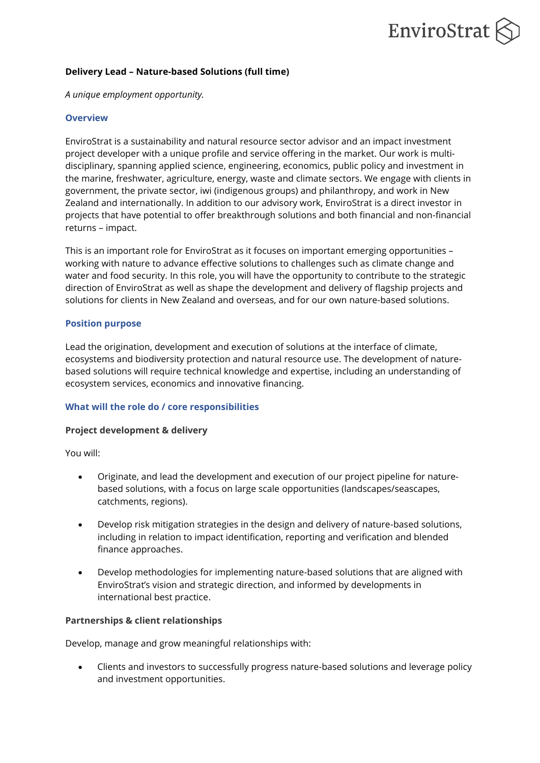# EnviroStrat

## **Delivery Lead – Nature-based Solutions (full time)**

*A unique employment opportunity.*

## **Overview**

EnviroStrat is a sustainability and natural resource sector advisor and an impact investment project developer with a unique profile and service offering in the market. Our work is multidisciplinary, spanning applied science, engineering, economics, public policy and investment in the marine, freshwater, agriculture, energy, waste and climate sectors. We engage with clients in government, the private sector, iwi (indigenous groups) and philanthropy, and work in New Zealand and internationally. In addition to our advisory work, EnviroStrat is a direct investor in projects that have potential to offer breakthrough solutions and both financial and non-financial returns – impact.

This is an important role for EnviroStrat as it focuses on important emerging opportunities – working with nature to advance effective solutions to challenges such as climate change and water and food security. In this role, you will have the opportunity to contribute to the strategic direction of EnviroStrat as well as shape the development and delivery of flagship projects and solutions for clients in New Zealand and overseas, and for our own nature-based solutions.

## **Position purpose**

Lead the origination, development and execution of solutions at the interface of climate, ecosystems and biodiversity protection and natural resource use. The development of naturebased solutions will require technical knowledge and expertise, including an understanding of ecosystem services, economics and innovative financing.

# **What will the role do / core responsibilities**

#### **Project development & delivery**

You will:

- Originate, and lead the development and execution of our project pipeline for naturebased solutions, with a focus on large scale opportunities (landscapes/seascapes, catchments, regions).
- Develop risk mitigation strategies in the design and delivery of nature-based solutions, including in relation to impact identification, reporting and verification and blended finance approaches.
- Develop methodologies for implementing nature-based solutions that are aligned with EnviroStrat's vision and strategic direction, and informed by developments in international best practice.

# **Partnerships & client relationships**

Develop, manage and grow meaningful relationships with:

• Clients and investors to successfully progress nature-based solutions and leverage policy and investment opportunities.